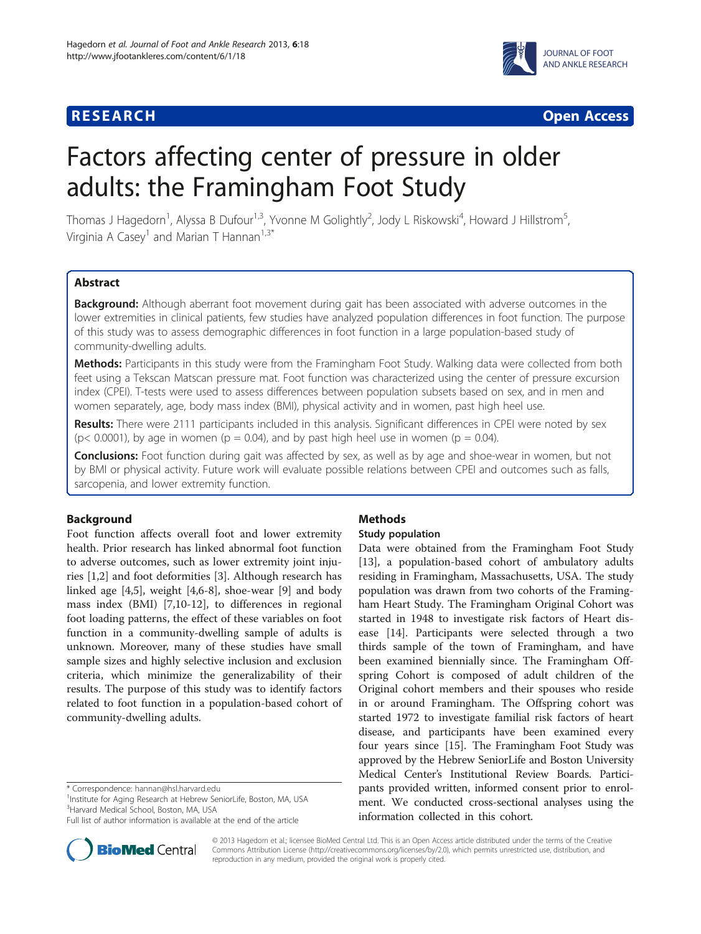



# Factors affecting center of pressure in older adults: the Framingham Foot Study

Thomas J Hagedorn<sup>1</sup>, Alyssa B Dufour<sup>1,3</sup>, Yvonne M Golightly<sup>2</sup>, Jody L Riskowski<sup>4</sup>, Howard J Hillstrom<sup>5</sup> , Virginia A Casey<sup>1</sup> and Marian T Hannan<sup>1,3\*</sup>

# Abstract

Background: Although aberrant foot movement during gait has been associated with adverse outcomes in the lower extremities in clinical patients, few studies have analyzed population differences in foot function. The purpose of this study was to assess demographic differences in foot function in a large population-based study of community-dwelling adults.

Methods: Participants in this study were from the Framingham Foot Study. Walking data were collected from both feet using a Tekscan Matscan pressure mat. Foot function was characterized using the center of pressure excursion index (CPEI). T-tests were used to assess differences between population subsets based on sex, and in men and women separately, age, body mass index (BMI), physical activity and in women, past high heel use.

Results: There were 2111 participants included in this analysis. Significant differences in CPEI were noted by sex  $(p < 0.0001)$ , by age in women  $(p = 0.04)$ , and by past high heel use in women  $(p = 0.04)$ .

**Conclusions:** Foot function during gait was affected by sex, as well as by age and shoe-wear in women, but not by BMI or physical activity. Future work will evaluate possible relations between CPEI and outcomes such as falls, sarcopenia, and lower extremity function.

# Background

Foot function affects overall foot and lower extremity health. Prior research has linked abnormal foot function to adverse outcomes, such as lower extremity joint injuries [\[1,2](#page-4-0)] and foot deformities [\[3\]](#page-4-0). Although research has linked age [\[4,5](#page-4-0)], weight [[4](#page-4-0),[6-8\]](#page-4-0), shoe-wear [[9\]](#page-4-0) and body mass index (BMI) [[7,10-12](#page-4-0)], to differences in regional foot loading patterns, the effect of these variables on foot function in a community-dwelling sample of adults is unknown. Moreover, many of these studies have small sample sizes and highly selective inclusion and exclusion criteria, which minimize the generalizability of their results. The purpose of this study was to identify factors related to foot function in a population-based cohort of community-dwelling adults.

<sup>1</sup>Institute for Aging Research at Hebrew SeniorLife, Boston, MA, USA 3 Harvard Medical School, Boston, MA, USA

Full list of author information is available at the end of the article



# Methods

# Study population

Data were obtained from the Framingham Foot Study [[13\]](#page-4-0), a population-based cohort of ambulatory adults residing in Framingham, Massachusetts, USA. The study population was drawn from two cohorts of the Framingham Heart Study. The Framingham Original Cohort was started in 1948 to investigate risk factors of Heart disease [[14](#page-4-0)]. Participants were selected through a two thirds sample of the town of Framingham, and have been examined biennially since. The Framingham Offspring Cohort is composed of adult children of the Original cohort members and their spouses who reside in or around Framingham. The Offspring cohort was started 1972 to investigate familial risk factors of heart disease, and participants have been examined every four years since [\[15](#page-4-0)]. The Framingham Foot Study was approved by the Hebrew SeniorLife and Boston University Medical Center's Institutional Review Boards. Participants provided written, informed consent prior to enrolment. We conducted cross-sectional analyses using the information collected in this cohort.

© 2013 Hagedorn et al.; licensee BioMed Central Ltd. This is an Open Access article distributed under the terms of the Creative Commons Attribution License [\(http://creativecommons.org/licenses/by/2.0\)](http://creativecommons.org/licenses/by/2.0), which permits unrestricted use, distribution, and reproduction in any medium, provided the original work is properly cited.

<sup>\*</sup> Correspondence: [hannan@hsl.harvard.edu](mailto:hannan@hsl.harvard.edu) <sup>1</sup>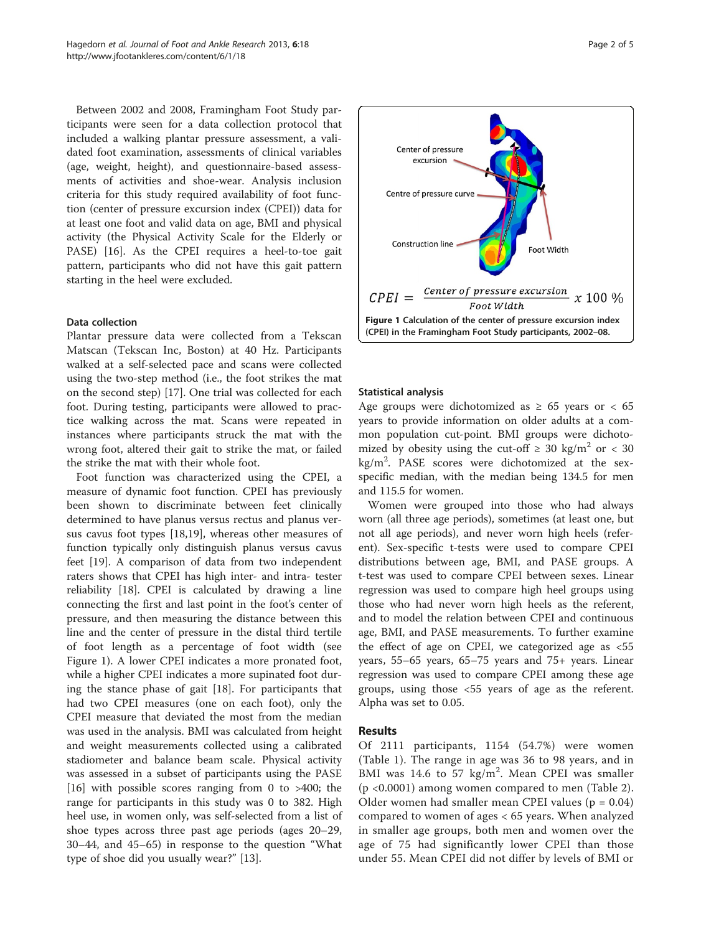Between 2002 and 2008, Framingham Foot Study participants were seen for a data collection protocol that included a walking plantar pressure assessment, a validated foot examination, assessments of clinical variables (age, weight, height), and questionnaire-based assessments of activities and shoe-wear. Analysis inclusion criteria for this study required availability of foot function (center of pressure excursion index (CPEI)) data for at least one foot and valid data on age, BMI and physical activity (the Physical Activity Scale for the Elderly or PASE) [[16](#page-4-0)]. As the CPEI requires a heel-to-toe gait pattern, participants who did not have this gait pattern starting in the heel were excluded.

## Data collection

Plantar pressure data were collected from a Tekscan Matscan (Tekscan Inc, Boston) at 40 Hz. Participants walked at a self-selected pace and scans were collected using the two-step method (i.e., the foot strikes the mat on the second step) [[17\]](#page-4-0). One trial was collected for each foot. During testing, participants were allowed to practice walking across the mat. Scans were repeated in instances where participants struck the mat with the wrong foot, altered their gait to strike the mat, or failed the strike the mat with their whole foot.

Foot function was characterized using the CPEI, a measure of dynamic foot function. CPEI has previously been shown to discriminate between feet clinically determined to have planus versus rectus and planus versus cavus foot types [[18](#page-4-0),[19](#page-4-0)], whereas other measures of function typically only distinguish planus versus cavus feet [\[19\]](#page-4-0). A comparison of data from two independent raters shows that CPEI has high inter- and intra- tester reliability [[18\]](#page-4-0). CPEI is calculated by drawing a line connecting the first and last point in the foot's center of pressure, and then measuring the distance between this line and the center of pressure in the distal third tertile of foot length as a percentage of foot width (see Figure 1). A lower CPEI indicates a more pronated foot, while a higher CPEI indicates a more supinated foot during the stance phase of gait [[18\]](#page-4-0). For participants that had two CPEI measures (one on each foot), only the CPEI measure that deviated the most from the median was used in the analysis. BMI was calculated from height and weight measurements collected using a calibrated stadiometer and balance beam scale. Physical activity was assessed in a subset of participants using the PASE [[16\]](#page-4-0) with possible scores ranging from 0 to >400; the range for participants in this study was 0 to 382. High heel use, in women only, was self-selected from a list of shoe types across three past age periods (ages 20–29, 30–44, and 45–65) in response to the question "What type of shoe did you usually wear?" [\[13\]](#page-4-0).



# Statistical analysis

Age groups were dichotomized as  $\geq 65$  years or  $\lt 65$ years to provide information on older adults at a common population cut-point. BMI groups were dichotomized by obesity using the cut-off  $\geq 30 \text{ kg/m}^2$  or  $\lt 30$ kg/m<sup>2</sup>. PASE scores were dichotomized at the sexspecific median, with the median being 134.5 for men and 115.5 for women.

Women were grouped into those who had always worn (all three age periods), sometimes (at least one, but not all age periods), and never worn high heels (referent). Sex-specific t-tests were used to compare CPEI distributions between age, BMI, and PASE groups. A t-test was used to compare CPEI between sexes. Linear regression was used to compare high heel groups using those who had never worn high heels as the referent, and to model the relation between CPEI and continuous age, BMI, and PASE measurements. To further examine the effect of age on CPEI, we categorized age as  $< 55$ years, 55–65 years, 65–75 years and 75+ years. Linear regression was used to compare CPEI among these age groups, using those <55 years of age as the referent. Alpha was set to 0.05.

# Results

Of 2111 participants, 1154 (54.7%) were women (Table [1\)](#page-2-0). The range in age was 36 to 98 years, and in BMI was  $14.6$  to 57 kg/m<sup>2</sup>. Mean CPEI was smaller (p <0.0001) among women compared to men (Table [2](#page-2-0)). Older women had smaller mean CPEI values ( $p = 0.04$ ) compared to women of ages < 65 years. When analyzed in smaller age groups, both men and women over the age of 75 had significantly lower CPEI than those under 55. Mean CPEI did not differ by levels of BMI or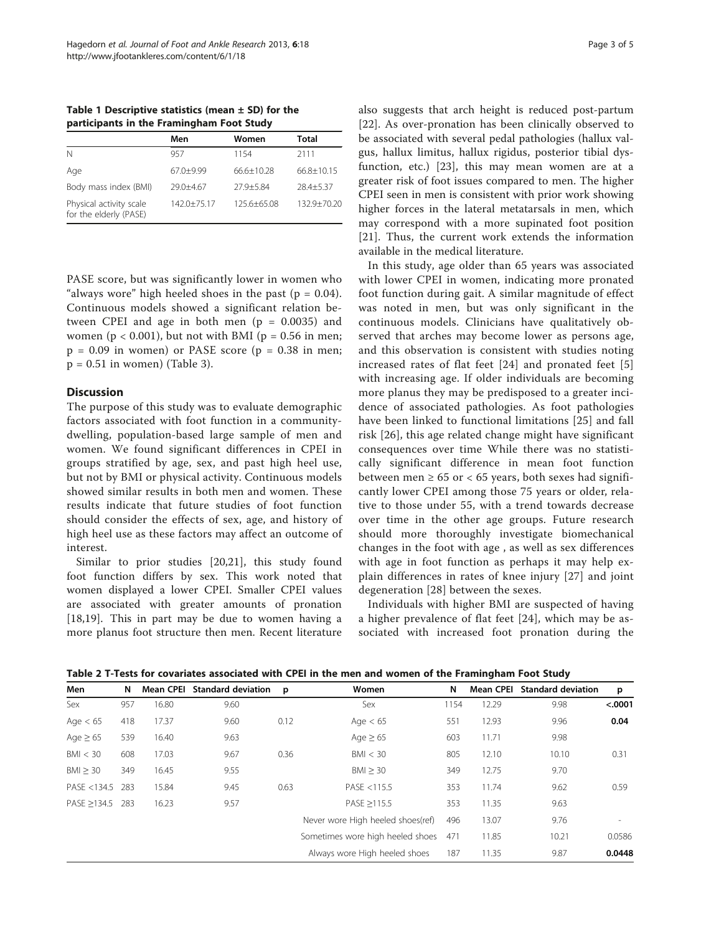<span id="page-2-0"></span>Table 1 Descriptive statistics (mean  $\pm$  SD) for the participants in the Framingham Foot Study

|                                                   | Men             | Women           | Total          |
|---------------------------------------------------|-----------------|-----------------|----------------|
| N                                                 | 957             | 1154            | 2111           |
| Age                                               | $67.0 + 9.99$   | $66.6 + 10.28$  | $66.8 + 10.15$ |
| Body mass index (BMI)                             | $29.0 + 4.67$   | $27.9 + 5.84$   | $28.4 + 5.37$  |
| Physical activity scale<br>for the elderly (PASE) | $142.0 + 75.17$ | $125.6 + 65.08$ | 132.9+70.20    |

PASE score, but was significantly lower in women who "always wore" high heeled shoes in the past  $(p = 0.04)$ . Continuous models showed a significant relation between CPEI and age in both men  $(p = 0.0035)$  and women ( $p < 0.001$ ), but not with BMI ( $p = 0.56$  in men;  $p = 0.09$  in women) or PASE score ( $p = 0.38$  in men;  $p = 0.51$  in women) (Table [3\)](#page-3-0).

# **Discussion**

The purpose of this study was to evaluate demographic factors associated with foot function in a communitydwelling, population-based large sample of men and women. We found significant differences in CPEI in groups stratified by age, sex, and past high heel use, but not by BMI or physical activity. Continuous models showed similar results in both men and women. These results indicate that future studies of foot function should consider the effects of sex, age, and history of high heel use as these factors may affect an outcome of interest.

Similar to prior studies [[20,21\]](#page-4-0), this study found foot function differs by sex. This work noted that women displayed a lower CPEI. Smaller CPEI values are associated with greater amounts of pronation [[18,19](#page-4-0)]. This in part may be due to women having a more planus foot structure then men. Recent literature

also suggests that arch height is reduced post-partum [[22](#page-4-0)]. As over-pronation has been clinically observed to be associated with several pedal pathologies (hallux valgus, hallux limitus, hallux rigidus, posterior tibial dysfunction, etc.) [[23\]](#page-4-0), this may mean women are at a greater risk of foot issues compared to men. The higher CPEI seen in men is consistent with prior work showing higher forces in the lateral metatarsals in men, which may correspond with a more supinated foot position [[21\]](#page-4-0). Thus, the current work extends the information available in the medical literature.

In this study, age older than 65 years was associated with lower CPEI in women, indicating more pronated foot function during gait. A similar magnitude of effect was noted in men, but was only significant in the continuous models. Clinicians have qualitatively observed that arches may become lower as persons age, and this observation is consistent with studies noting increased rates of flat feet [\[24](#page-4-0)] and pronated feet [\[5](#page-4-0)] with increasing age. If older individuals are becoming more planus they may be predisposed to a greater incidence of associated pathologies. As foot pathologies have been linked to functional limitations [[25](#page-4-0)] and fall risk [[26\]](#page-4-0), this age related change might have significant consequences over time While there was no statistically significant difference in mean foot function between men  $\geq 65$  or < 65 years, both sexes had significantly lower CPEI among those 75 years or older, relative to those under 55, with a trend towards decrease over time in the other age groups. Future research should more thoroughly investigate biomechanical changes in the foot with age , as well as sex differences with age in foot function as perhaps it may help explain differences in rates of knee injury [[27\]](#page-4-0) and joint degeneration [[28](#page-4-0)] between the sexes.

Individuals with higher BMI are suspected of having a higher prevalence of flat feet [[24\]](#page-4-0), which may be associated with increased foot pronation during the

| Table 2 T-Tests for covariates associated with CFEI in the men and women of the Framingham Foot Study |     |       |                              |              |                                   |      |           |                           |         |
|-------------------------------------------------------------------------------------------------------|-----|-------|------------------------------|--------------|-----------------------------------|------|-----------|---------------------------|---------|
| Men                                                                                                   | N   |       | Mean CPEI Standard deviation | $\mathbf{p}$ | Women                             | N    | Mean CPEI | <b>Standard deviation</b> | p       |
| Sex                                                                                                   | 957 | 16.80 | 9.60                         |              | Sex                               | 1154 | 12.29     | 9.98                      | < .0001 |
| Age $< 65$                                                                                            | 418 | 17.37 | 9.60                         | 0.12         | Age $< 65$                        | 551  | 12.93     | 9.96                      | 0.04    |
| Age $\geq 65$                                                                                         | 539 | 16.40 | 9.63                         |              | Age $\geq 65$                     | 603  | 11.71     | 9.98                      |         |
| BM < 30                                                                                               | 608 | 17.03 | 9.67                         | 0.36         | BMI < 30                          | 805  | 12.10     | 10.10                     | 0.31    |
| BM > 30                                                                                               | 349 | 16.45 | 9.55                         |              | $BM \geq 30$                      | 349  | 12.75     | 9.70                      |         |
| PASE <134.5                                                                                           | 283 | 15.84 | 9.45                         | 0.63         | PASE <115.5                       | 353  | 11.74     | 9.62                      | 0.59    |
| PASE ≥134.5                                                                                           | 283 | 16.23 | 9.57                         |              | PASE >115.5                       | 353  | 11.35     | 9.63                      |         |
|                                                                                                       |     |       |                              |              | Never wore High heeled shoes(ref) | 496  | 13.07     | 9.76                      |         |
|                                                                                                       |     |       |                              |              | Sometimes wore high heeled shoes  | 471  | 11.85     | 10.21                     | 0.0586  |
|                                                                                                       |     |       |                              |              | Always wore High heeled shoes     | 187  | 11.35     | 9.87                      | 0.0448  |
|                                                                                                       |     |       |                              |              |                                   |      |           |                           |         |

Table 2 T-Tests for covariates associated with CPEI in the men and women of the Framingham Foot Study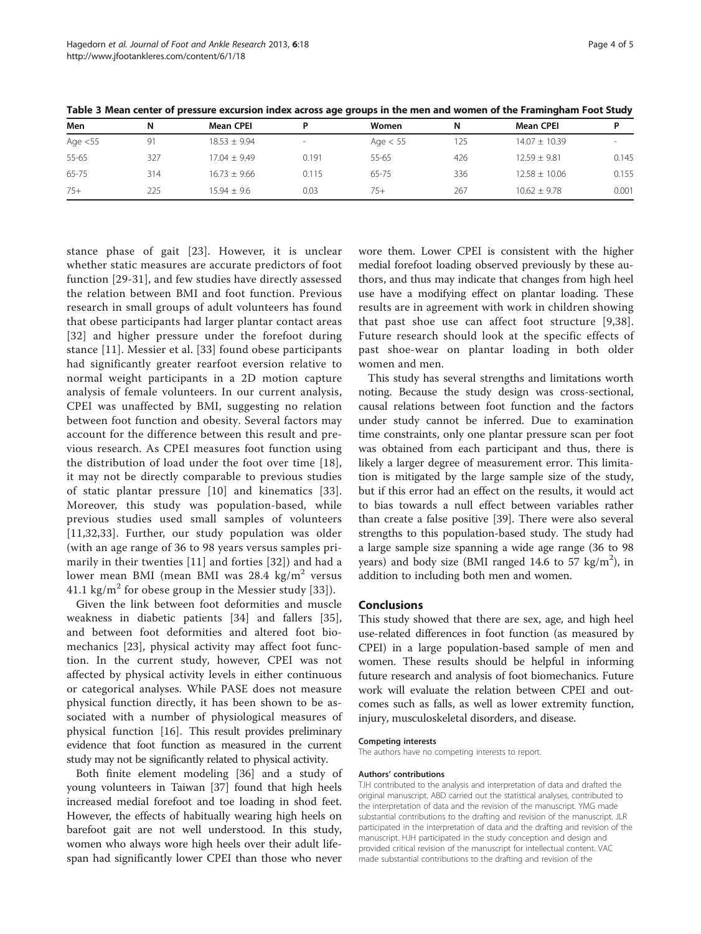| Men     | N              | Mean CPEI        |                          | Women      | N   | Mean CPEI         |       |
|---------|----------------|------------------|--------------------------|------------|-----|-------------------|-------|
| Age <55 | Q <sub>1</sub> | $18.53 \pm 9.94$ | $\overline{\phantom{a}}$ | Age $< 55$ | 125 | $14.07 \pm 10.39$ |       |
| 55-65   | 327            | $17.04 \pm 9.49$ | 0.191                    | 55-65      | 426 | $12.59 + 9.81$    | 0.145 |
| 65-75   | 314            | $16.73 \pm 9.66$ | 0.115                    | 65-75      | 336 | $12.58 \pm 10.06$ | 0.155 |
| $75+$   | 225            | $15.94 + 9.6$    | 0.03                     | $75+$      | 267 | $10.62 \pm 9.78$  | 0.001 |

<span id="page-3-0"></span>Table 3 Mean center of pressure excursion index across age groups in the men and women of the Framingham Foot Study

stance phase of gait [[23](#page-4-0)]. However, it is unclear whether static measures are accurate predictors of foot function [[29-31\]](#page-4-0), and few studies have directly assessed the relation between BMI and foot function. Previous research in small groups of adult volunteers has found that obese participants had larger plantar contact areas [[32](#page-4-0)] and higher pressure under the forefoot during stance [\[11\]](#page-4-0). Messier et al. [\[33](#page-4-0)] found obese participants had significantly greater rearfoot eversion relative to normal weight participants in a 2D motion capture analysis of female volunteers. In our current analysis, CPEI was unaffected by BMI, suggesting no relation between foot function and obesity. Several factors may account for the difference between this result and previous research. As CPEI measures foot function using the distribution of load under the foot over time [[18](#page-4-0)], it may not be directly comparable to previous studies of static plantar pressure [[10\]](#page-4-0) and kinematics [[33](#page-4-0)]. Moreover, this study was population-based, while previous studies used small samples of volunteers [[11](#page-4-0),[32,33](#page-4-0)]. Further, our study population was older (with an age range of 36 to 98 years versus samples primarily in their twenties [[11](#page-4-0)] and forties [[32\]](#page-4-0)) and had a lower mean BMI (mean BMI was  $28.4 \text{ kg/m}^2$  versus 41.1 kg/m<sup>2</sup> for obese group in the Messier study [[33](#page-4-0)]).

Given the link between foot deformities and muscle weakness in diabetic patients [[34\]](#page-4-0) and fallers [\[35](#page-4-0)], and between foot deformities and altered foot biomechanics [[23\]](#page-4-0), physical activity may affect foot function. In the current study, however, CPEI was not affected by physical activity levels in either continuous or categorical analyses. While PASE does not measure physical function directly, it has been shown to be associated with a number of physiological measures of physical function [\[16](#page-4-0)]. This result provides preliminary evidence that foot function as measured in the current study may not be significantly related to physical activity.

Both finite element modeling [[36](#page-4-0)] and a study of young volunteers in Taiwan [[37\]](#page-4-0) found that high heels increased medial forefoot and toe loading in shod feet. However, the effects of habitually wearing high heels on barefoot gait are not well understood. In this study, women who always wore high heels over their adult lifespan had significantly lower CPEI than those who never wore them. Lower CPEI is consistent with the higher medial forefoot loading observed previously by these authors, and thus may indicate that changes from high heel use have a modifying effect on plantar loading. These results are in agreement with work in children showing that past shoe use can affect foot structure [\[9](#page-4-0),[38](#page-4-0)]. Future research should look at the specific effects of past shoe-wear on plantar loading in both older women and men.

This study has several strengths and limitations worth noting. Because the study design was cross-sectional, causal relations between foot function and the factors under study cannot be inferred. Due to examination time constraints, only one plantar pressure scan per foot was obtained from each participant and thus, there is likely a larger degree of measurement error. This limitation is mitigated by the large sample size of the study, but if this error had an effect on the results, it would act to bias towards a null effect between variables rather than create a false positive [\[39\]](#page-4-0). There were also several strengths to this population-based study. The study had a large sample size spanning a wide age range (36 to 98 years) and body size (BMI ranged  $14.6$  to  $57 \text{ kg/m}^2$ ), in addition to including both men and women.

# Conclusions

This study showed that there are sex, age, and high heel use-related differences in foot function (as measured by CPEI) in a large population-based sample of men and women. These results should be helpful in informing future research and analysis of foot biomechanics. Future work will evaluate the relation between CPEI and outcomes such as falls, as well as lower extremity function, injury, musculoskeletal disorders, and disease.

### Competing interests

The authors have no competing interests to report.

#### Authors' contributions

TJH contributed to the analysis and interpretation of data and drafted the original manuscript. ABD carried out the statistical analyses, contributed to the interpretation of data and the revision of the manuscript. YMG made substantial contributions to the drafting and revision of the manuscript. JLR participated in the interpretation of data and the drafting and revision of the manuscript. HJH participated in the study conception and design and provided critical revision of the manuscript for intellectual content. VAC made substantial contributions to the drafting and revision of the